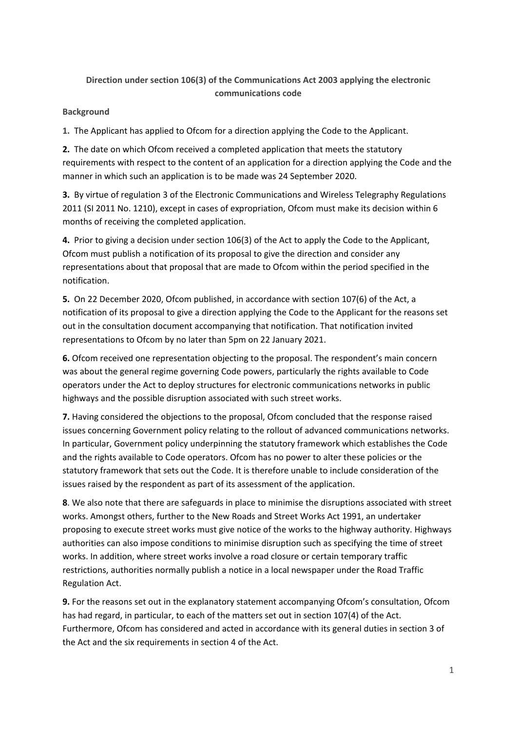## **Direction under section 106(3) of the Communications Act 2003 applying the electronic communications code**

## **Background**

**1.** The Applicant has applied to Ofcom for a direction applying the Code to the Applicant.

**2.** The date on which Ofcom received a completed application that meets the statutory requirements with respect to the content of an application for a direction applying the Code and the manner in which such an application is to be made was 24 September 2020.

**3.** By virtue of regulation 3 of the Electronic Communications and Wireless Telegraphy Regulations 2011 (SI 2011 No. 1210), except in cases of expropriation, Ofcom must make its decision within 6 months of receiving the completed application.

**4.** Prior to giving a decision under section 106(3) of the Act to apply the Code to the Applicant, Ofcom must publish a notification of its proposal to give the direction and consider any representations about that proposal that are made to Ofcom within the period specified in the notification.

**5.** On 22 December 2020, Ofcom published, in accordance with section 107(6) of the Act, a notification of its proposal to give a direction applying the Code to the Applicant for the reasons set out in the consultation document accompanying that notification. That notification invited representations to Ofcom by no later than 5pm on 22 January 2021.

**6.** Ofcom received one representation objecting to the proposal. The respondent's main concern was about the general regime governing Code powers, particularly the rights available to Code operators under the Act to deploy structures for electronic communications networks in public highways and the possible disruption associated with such street works.

**7.** Having considered the objections to the proposal, Ofcom concluded that the response raised issues concerning Government policy relating to the rollout of advanced communications networks. In particular, Government policy underpinning the statutory framework which establishes the Code and the rights available to Code operators. Ofcom has no power to alter these policies or the statutory framework that sets out the Code. It is therefore unable to include consideration of the issues raised by the respondent as part of its assessment of the application.

**8**. We also note that there are safeguards in place to minimise the disruptions associated with street works. Amongst others, further to the New Roads and Street Works Act 1991, an undertaker proposing to execute street works must give notice of the works to the highway authority. Highways authorities can also impose conditions to minimise disruption such as specifying the time of street works. In addition, where street works involve a road closure or certain temporary traffic restrictions, authorities normally publish a notice in a local newspaper under the Road Traffic Regulation Act.

**9.** For the reasons set out in the explanatory statement accompanying Ofcom's consultation, Ofcom has had regard, in particular, to each of the matters set out in section 107(4) of the Act. Furthermore, Ofcom has considered and acted in accordance with its general duties in section 3 of the Act and the six requirements in section 4 of the Act.